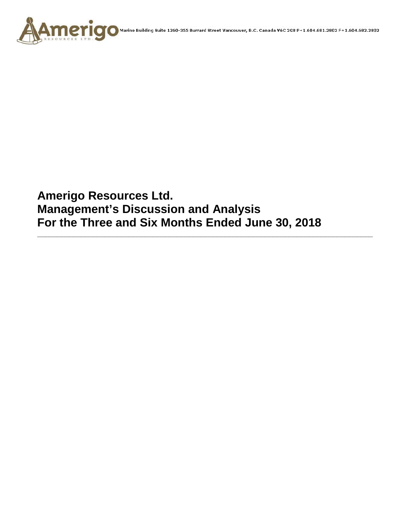

**Amerigo Resources Ltd. Management's Discussion and Analysis For the Three and Six Months Ended June 30, 2018**

**\_\_\_\_\_\_\_\_\_\_\_\_\_\_\_\_\_\_\_\_\_\_\_\_\_\_\_\_\_\_\_\_\_\_\_\_\_\_\_\_\_\_\_\_\_\_\_\_\_\_\_\_\_\_\_\_\_\_\_\_\_\_\_\_\_\_\_\_\_\_\_\_\_\_\_\_\_\_\_\_\_\_\_\_**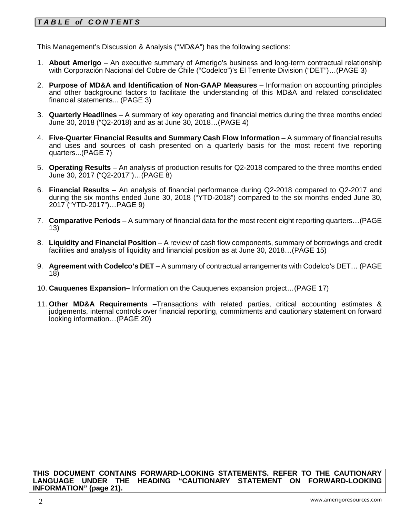# *T A B L E of C O N T E NT S*

This Management's Discussion & Analysis ("MD&A") has the following sections:

- 1. **About Amerigo**  An executive summary of Amerigo's business and long-term contractual relationship with Corporación Nacional del Cobre de Chile ("Codelco")'s El Teniente Division ("DET")…(PAGE 3)
- 2. **Purpose of MD&A and Identification of Non-GAAP Measures** Information on accounting principles and other background factors to facilitate the understanding of this MD&A and related consolidated financial statements... (PAGE 3)
- 3. **Quarterly Headlines** A summary of key operating and financial metrics during the three months ended June 30, 2018 ("Q2-2018) and as at June 30, 2018…(PAGE 4)
- 4. **Five-Quarter Financial Results and Summary Cash Flow Information** A summary of financial results and uses and sources of cash presented on a quarterly basis for the most recent five reporting quarters...(PAGE 7)
- 5. **Operating Results** An analysis of production results for Q2-2018 compared to the three months ended June 30, 2017 ("Q2-2017")…(PAGE 8)
- 6. **Financial Results** An analysis of financial performance during Q2-2018 compared to Q2-2017 and during the six months ended June 30, 2018 ("YTD-2018") compared to the six months ended June 30, 2017 ("YTD-2017")…PAGE 9)
- 7. **Comparative Periods** A summary of financial data for the most recent eight reporting quarters…(PAGE 13)
- 8. **Liquidity and Financial Position** A review of cash flow components, summary of borrowings and credit facilities and analysis of liquidity and financial position as at June 30, 2018…(PAGE 15)
- 9. **Agreement with Codelco's DET** A summary of contractual arrangements with Codelco's DET… (PAGE 18)
- 10. **Cauquenes Expansion–** Information on the Cauquenes expansion project…(PAGE 17)
- 11. **Other MD&A Requirements** –Transactions with related parties, critical accounting estimates & judgements, internal controls over financial reporting, commitments and cautionary statement on forward looking information…(PAGE 20)

**THIS DOCUMENT CONTAINS FORWARD-LOOKING STATEMENTS. REFER TO THE CAUTIONARY LANGUAGE UNDER THE HEADING "CAUTIONARY STATEMENT ON FORWARD-LOOKING INFORMATION" (page 21).**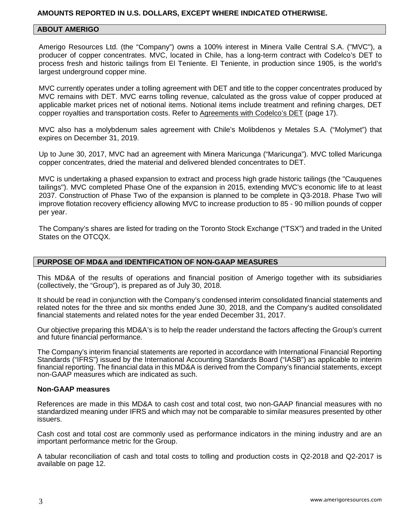### **ABOUT AMERIGO**

Amerigo Resources Ltd. (the "Company") owns a 100% interest in Minera Valle Central S.A. ("MVC"), a producer of copper concentrates. MVC, located in Chile, has a long-term contract with Codelco's DET to process fresh and historic tailings from El Teniente. El Teniente, in production since 1905, is the world's largest underground copper mine.

MVC currently operates under a tolling agreement with DET and title to the copper concentrates produced by MVC remains with DET. MVC earns tolling revenue, calculated as the gross value of copper produced at applicable market prices net of notional items. Notional items include treatment and refining charges, DET copper royalties and transportation costs. Refer to Agreements with Codelco's DET (page 17).

MVC also has a molybdenum sales agreement with Chile's Molibdenos y Metales S.A. ("Molymet") that expires on December 31, 2019.

Up to June 30, 2017, MVC had an agreement with Minera Maricunga ("Maricunga"). MVC tolled Maricunga copper concentrates, dried the material and delivered blended concentrates to DET.

MVC is undertaking a phased expansion to extract and process high grade historic tailings (the "Cauquenes tailings"). MVC completed Phase One of the expansion in 2015, extending MVC's economic life to at least 2037. Construction of Phase Two of the expansion is planned to be complete in Q3-2018. Phase Two will improve flotation recovery efficiency allowing MVC to increase production to 85 - 90 million pounds of copper per year.

The Company's shares are listed for trading on the Toronto Stock Exchange ("TSX") and traded in the United States on the OTCQX.

#### **PURPOSE OF MD&A and IDENTIFICATION OF NON-GAAP MEASURES**

This MD&A of the results of operations and financial position of Amerigo together with its subsidiaries (collectively, the "Group"), is prepared as of July 30, 2018.

It should be read in conjunction with the Company's condensed interim consolidated financial statements and related notes for the three and six months ended June 30, 2018, and the Company's audited consolidated financial statements and related notes for the year ended December 31, 2017.

Our objective preparing this MD&A's is to help the reader understand the factors affecting the Group's current and future financial performance.

The Company's interim financial statements are reported in accordance with International Financial Reporting Standards ("IFRS") issued by the International Accounting Standards Board ("IASB") as applicable to interim financial reporting. The financial data in this MD&A is derived from the Company's financial statements, except non-GAAP measures which are indicated as such.

#### **Non-GAAP measures**

References are made in this MD&A to cash cost and total cost, two non-GAAP financial measures with no standardized meaning under IFRS and which may not be comparable to similar measures presented by other issuers.

Cash cost and total cost are commonly used as performance indicators in the mining industry and are an important performance metric for the Group.

A tabular reconciliation of cash and total costs to tolling and production costs in Q2-2018 and Q2-2017 is available on page 12.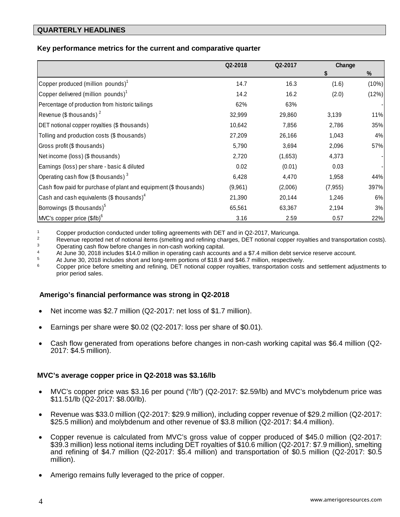### **QUARTERLY HEADLINES**

### **Key performance metrics for the current and comparative quarter**

|                                                                   | Q2-2018 | Q2-2017 | Change   |       |  |
|-------------------------------------------------------------------|---------|---------|----------|-------|--|
|                                                                   |         |         | S        | %     |  |
| Copper produced (million pounds) <sup>1</sup>                     | 14.7    | 16.3    | (1.6)    | (10%) |  |
| Copper delivered (million pounds) <sup>1</sup>                    | 14.2    | 16.2    | (2.0)    | (12%) |  |
| Percentage of production from historic tailings                   | 62%     | 63%     |          |       |  |
| Revenue (\$ thousands) $2$                                        | 32,999  | 29,860  | 3,139    | 11%   |  |
| DET notional copper royalties (\$ thousands)                      | 10,642  | 7,856   | 2,786    | 35%   |  |
| Tolling and production costs (\$ thousands)                       | 27,209  | 26,166  | 1,043    | 4%    |  |
| Gross profit (\$ thousands)                                       | 5,790   | 3,694   | 2,096    | 57%   |  |
| Net income (loss) (\$ thousands)                                  | 2,720   | (1,653) | 4,373    |       |  |
| Earnings (loss) per share - basic & diluted                       | 0.02    | (0.01)  | 0.03     |       |  |
| Operating cash flow (\$ thousands) $3$                            | 6,428   | 4,470   | 1,958    | 44%   |  |
| Cash flow paid for purchase of plant and equipment (\$ thousands) | (9,961) | (2,006) | (7, 955) | 397%  |  |
| Cash and cash equivalents (\$ thousands) $4$                      | 21,390  | 20,144  | 1,246    | 6%    |  |
| Borrowings (\$ thousands) <sup>5</sup>                            | 65,561  | 63,367  | 2,194    | 3%    |  |
| MVC's copper price (\$/lb) <sup>6</sup>                           | 3.16    | 2.59    | 0.57     | 22%   |  |

1 Copper production conducted under tolling agreements with DET and in Q2-2017, Maricunga.<br>2 Boyanus reported not of potional items (smolting and refining charges, DET potional copper re

<sup>2</sup> Revenue reported net of notional items (smelting and refining charges, DET notional copper royalties and transportation costs).<br><sup>3</sup> Operating cash flow before changes in pop-cash working capital

3 Operating cash flow before changes in non-cash working capital.<br>
4 At June 30, 2018 includes \$14.0 million in operating cash accounts and a \$7.4 million debt service reserve account.<br>
5 At June 30, 2018 includes short a

 $5$  At June 30, 2018 includes short and long-term portions of \$18.9 and \$46.7 million, respectively.

<sup>6</sup> Copper price before smelting and refining, DET notional copper royalties, transportation costs and settlement adjustments to prior period sales.

### **Amerigo's financial performance was strong in Q2-2018**

- Net income was \$2.7 million (Q2-2017: net loss of \$1.7 million).
- Earnings per share were \$0.02 (Q2-2017: loss per share of \$0.01).
- Cash flow generated from operations before changes in non-cash working capital was \$6.4 million (Q2- 2017: \$4.5 million).

#### **MVC's average copper price in Q2-2018 was \$3.16/lb**

- MVC's copper price was \$3.16 per pound ("/lb") (Q2-2017: \$2.59/lb) and MVC's molybdenum price was \$11.51/lb (Q2-2017: \$8.00/lb).
- Revenue was \$33.0 million (Q2-2017: \$29.9 million), including copper revenue of \$29.2 million (Q2-2017: \$25.5 million) and molybdenum and other revenue of \$3.8 million (Q2-2017: \$4.4 million).
- Copper revenue is calculated from MVC's gross value of copper produced of \$45.0 million (Q2-2017: \$39.3 million) less notional items including DET royalties of \$10.6 million (Q2-2017: \$7.9 million), smelting and refining of \$4.7 million (Q2-2017: \$5.4 million) and transportation of \$0.5 million (Q2-2017: \$0.5 million).
- Amerigo remains fully leveraged to the price of copper.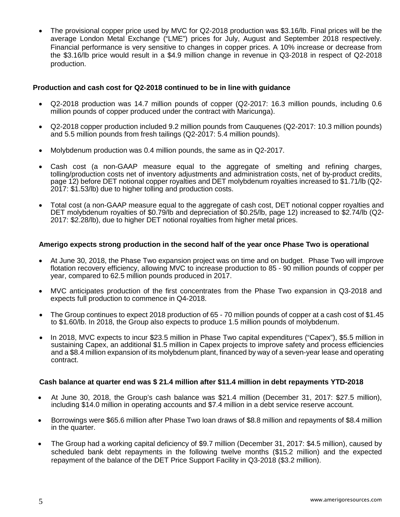• The provisional copper price used by MVC for Q2-2018 production was \$3.16/lb. Final prices will be the average London Metal Exchange ("LME") prices for July, August and September 2018 respectively. Financial performance is very sensitive to changes in copper prices. A 10% increase or decrease from the \$3.16/lb price would result in a \$4.9 million change in revenue in Q3-2018 in respect of Q2-2018 production.

### **Production and cash cost for Q2-2018 continued to be in line with guidance**

- Q2-2018 production was 14.7 million pounds of copper (Q2-2017: 16.3 million pounds, including 0.6 million pounds of copper produced under the contract with Maricunga).
- Q2-2018 copper production included 9.2 million pounds from Cauquenes (Q2-2017: 10.3 million pounds) and 5.5 million pounds from fresh tailings (Q2-2017: 5.4 million pounds).
- Molybdenum production was 0.4 million pounds, the same as in Q2-2017.
- Cash cost (a non-GAAP measure equal to the aggregate of smelting and refining charges, tolling/production costs net of inventory adjustments and administration costs, net of by-product credits, page 12) before DET notional copper royalties and DET molybdenum royalties increased to \$1.71/lb (Q2- 2017: \$1.53/lb) due to higher tolling and production costs.
- Total cost (a non-GAAP measure equal to the aggregate of cash cost, DET notional copper royalties and DET molybdenum royalties of \$0.79/lb and depreciation of \$0.25/lb, page 12) increased to \$2.74/lb (Q2- 2017: \$2.28/lb), due to higher DET notional royalties from higher metal prices.

#### **Amerigo expects strong production in the second half of the year once Phase Two is operational**

- At June 30, 2018, the Phase Two expansion project was on time and on budget. Phase Two will improve flotation recovery efficiency, allowing MVC to increase production to 85 - 90 million pounds of copper per year, compared to 62.5 million pounds produced in 2017.
- MVC anticipates production of the first concentrates from the Phase Two expansion in Q3-2018 and expects full production to commence in Q4-2018.
- The Group continues to expect 2018 production of 65 70 million pounds of copper at a cash cost of \$1.45 to \$1.60/lb. In 2018, the Group also expects to produce 1.5 million pounds of molybdenum.
- In 2018, MVC expects to incur \$23.5 million in Phase Two capital expenditures ("Capex"), \$5.5 million in sustaining Capex, an additional \$1.5 million in Capex projects to improve safety and process efficiencies and a \$8.4 million expansion of its molybdenum plant, financed by way of a seven-year lease and operating contract.

#### **Cash balance at quarter end was \$ 21.4 million after \$11.4 million in debt repayments YTD-2018**

- At June 30, 2018, the Group's cash balance was \$21.4 million (December 31, 2017: \$27.5 million), including \$14.0 million in operating accounts and \$7.4 million in a debt service reserve account.
- Borrowings were \$65.6 million after Phase Two loan draws of \$8.8 million and repayments of \$8.4 million in the quarter.
- The Group had a working capital deficiency of \$9.7 million (December 31, 2017: \$4.5 million), caused by scheduled bank debt repayments in the following twelve months (\$15.2 million) and the expected repayment of the balance of the DET Price Support Facility in Q3-2018 (\$3.2 million).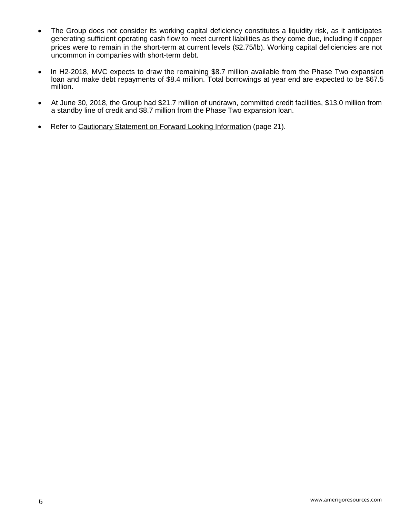- The Group does not consider its working capital deficiency constitutes a liquidity risk, as it anticipates generating sufficient operating cash flow to meet current liabilities as they come due, including if copper prices were to remain in the short-term at current levels (\$2.75/lb). Working capital deficiencies are not uncommon in companies with short-term debt.
- In H2-2018, MVC expects to draw the remaining \$8.7 million available from the Phase Two expansion loan and make debt repayments of \$8.4 million. Total borrowings at year end are expected to be \$67.5 million.
- At June 30, 2018, the Group had \$21.7 million of undrawn, committed credit facilities, \$13.0 million from a standby line of credit and \$8.7 million from the Phase Two expansion loan.
- Refer to Cautionary Statement on Forward Looking Information (page 21).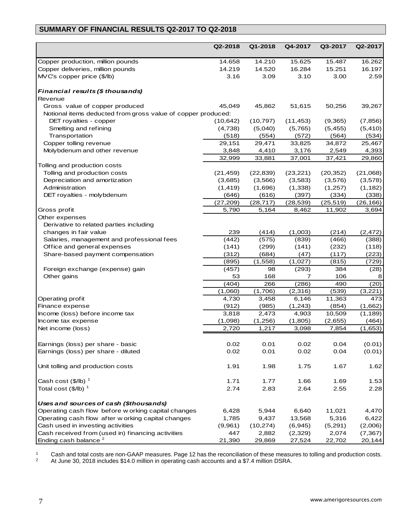# **SUMMARY OF FINANCIAL RESULTS Q2-2017 TO Q2-2018**

|                                                              | Q2-2018   | Q1-2018   | Q4-2017   | Q3-2017   | Q2-2017   |
|--------------------------------------------------------------|-----------|-----------|-----------|-----------|-----------|
| Copper production, million pounds                            | 14.658    | 14.210    | 15.625    | 15.487    | 16.262    |
| Copper deliveries, million pounds                            | 14.219    | 14.520    | 16.284    | 15.251    | 16.197    |
| MVC's copper price (\$/lb)                                   | 3.16      | 3.09      | 3.10      | 3.00      | 2.59      |
| Financial results (\$ thousands)                             |           |           |           |           |           |
| Revenue                                                      |           |           |           |           |           |
| Gross value of copper produced                               | 45,049    | 45,862    | 51,615    | 50,256    | 39,267    |
| Notional items deducted from gross value of copper produced: |           |           |           |           |           |
| DET royalties - copper                                       | (10, 642) | (10, 797) | (11, 453) | (9,365)   | (7, 856)  |
| Smelting and refining                                        | (4,738)   | (5,040)   | (5,765)   | (5, 455)  | (5, 410)  |
| Transportation                                               | (518)     | (554)     | (572)     | (564)     | (534)     |
| Copper tolling revenue                                       | 29,151    | 29,471    | 33,825    | 34,872    | 25,467    |
| Molybdenum and other revenue                                 | 3,848     | 4,410     | 3,176     | 2,549     | 4,393     |
|                                                              | 32,999    | 33,881    | 37,001    | 37,421    | 29,860    |
| Tolling and production costs                                 |           |           |           |           |           |
| Tolling and production costs                                 | (21, 459) | (22, 839) | (23, 221) | (20, 352) | (21,068)  |
| Depreciation and amortization                                | (3,685)   | (3, 566)  | (3, 583)  | (3,576)   | (3, 578)  |
| Administration                                               | (1, 419)  | (1,696)   | (1, 338)  | (1,257)   | (1, 182)  |
| DET royalties - molybdenum                                   | (646)     | (616)     | (397)     | (334)     | (338)     |
|                                                              | (27, 209) | (28, 717) | (28, 539) | (25, 519) | (26, 166) |
| Gross profit                                                 | 5,790     | 5,164     | 8,462     | 11,902    | 3,694     |
| Other expenses                                               |           |           |           |           |           |
| Derivative to related parties including                      |           |           |           |           |           |
| changes in fair value                                        | 239       | (414)     | (1,003)   | (214)     | (2, 472)  |
| Salaries, management and professional fees                   | (442)     | (575)     | (839)     | (466)     | (388)     |
| Office and general expenses                                  | (141)     | (299)     | (141)     | (232)     | (118)     |
| Share-based payment compensation                             | (312)     | (684)     | (47)      | (117)     | (223)     |
|                                                              | (895)     | (1,558)   | (1,027)   | (815)     | (729)     |
| Foreign exchange (expense) gain                              | (457)     | 98        | (293)     | 384       | (28)      |
| Other gains                                                  | 53        | 168       | 7         | 106       | 8         |
|                                                              | (404)     | 266       | (286)     | 490       | (20)      |
|                                                              | (1,060)   | (1,706)   | (2,316)   | (539)     | (3,221)   |
| Operating profit                                             | 4,730     | 3,458     | 6,146     | 11,363    | 473       |
| Finance expense                                              | (912)     | (985)     | (1,243)   | (854)     | (1,662)   |
| Income (loss) before income tax                              | 3,818     | 2,473     | 4,903     | 10,509    | (1, 189)  |
| Income tax expense                                           | (1,098)   | (1,256)   | (1,805)   | (2,655)   | (464)     |
| Net income (loss)                                            | 2,720     | 1,217     | 3,098     | 7,854     | (1,653)   |
|                                                              |           |           |           |           |           |
| Earnings (loss) per share - basic                            | 0.02      | 0.01      | 0.02      | 0.04      | (0.01)    |
| Earnings (loss) per share - diluted                          | 0.02      | 0.01      | 0.02      | 0.04      | (0.01)    |
| Unit tolling and production costs                            | 1.91      | 1.98      | 1.75      | 1.67      | 1.62      |
| Cash cost $(\frac{5}{lb})^1$                                 | 1.71      | 1.77      | 1.66      | 1.69      | 1.53      |
| Total cost $(\frac{5}{lb})^1$                                | 2.74      | 2.83      | 2.64      | 2.55      | 2.28      |
| Uses and sources of cash (\$thousands)                       |           |           |           |           |           |
| Operating cash flow before w orking capital changes          | 6,428     | 5,944     | 6,640     | 11,021    | 4,470     |
| Operating cash flow after w orking capital changes           | 1,785     | 9,437     | 13,568    | 5,316     | 6,422     |
| Cash used in investing activities                            | (9,961)   | (10, 274) | (6, 945)  | (5,291)   | (2,006)   |
| Cash received from (used in) financing activities            | 447       | 2,882     | (2,329)   | 2,074     | (7, 367)  |
| Ending cash balance <sup>2</sup>                             | 21,390    | 29,869    | 27,524    | 22,702    | 20,144    |

 $1 -$  Cash and total costs are non-GAAP measures. Page 12 has the reconciliation of these measures to tolling and production costs. <sup>2</sup> At June 30, 2018 includes \$14.0 million in operating cash accounts and a \$7.4 million DSRA.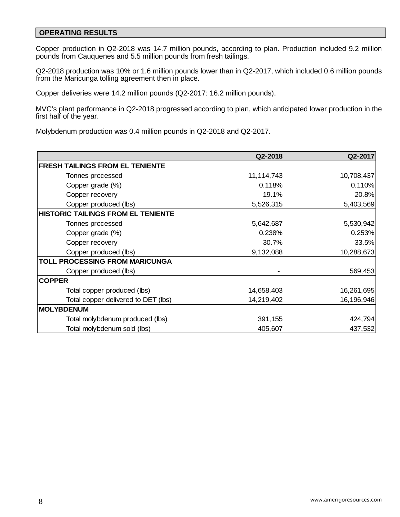## **OPERATING RESULTS**

Copper production in Q2-2018 was 14.7 million pounds, according to plan. Production included 9.2 million pounds from Cauquenes and 5.5 million pounds from fresh tailings.

Q2-2018 production was 10% or 1.6 million pounds lower than in Q2-2017, which included 0.6 million pounds from the Maricunga tolling agreement then in place.

Copper deliveries were 14.2 million pounds (Q2-2017: 16.2 million pounds).

MVC's plant performance in Q2-2018 progressed according to plan, which anticipated lower production in the first half of the year.

Molybdenum production was 0.4 million pounds in Q2-2018 and Q2-2017.

|                                           | Q2-2018      | Q2-2017    |
|-------------------------------------------|--------------|------------|
| <b>FRESH TAILINGS FROM EL TENIENTE</b>    |              |            |
| Tonnes processed                          | 11, 114, 743 | 10,708,437 |
| Copper grade (%)                          | 0.118%       | 0.110%     |
| Copper recovery                           | 19.1%        | 20.8%      |
| Copper produced (lbs)                     | 5,526,315    | 5,403,569  |
| <b>HISTORIC TAILINGS FROM EL TENIENTE</b> |              |            |
| Tonnes processed                          | 5,642,687    | 5,530,942  |
| Copper grade (%)                          | 0.238%       | 0.253%     |
| Copper recovery                           | 30.7%        | 33.5%      |
| Copper produced (lbs)                     | 9,132,088    | 10,288,673 |
| <b>TOLL PROCESSING FROM MARICUNGA</b>     |              |            |
| Copper produced (lbs)                     |              | 569,453    |
| <b>COPPER</b>                             |              |            |
| Total copper produced (lbs)               | 14,658,403   | 16,261,695 |
| Total copper delivered to DET (lbs)       | 14,219,402   | 16,196,946 |
| <b>MOLYBDENUM</b>                         |              |            |
| Total molybdenum produced (lbs)           | 391,155      | 424,794    |
| Total molybdenum sold (lbs)               | 405,607      | 437,532    |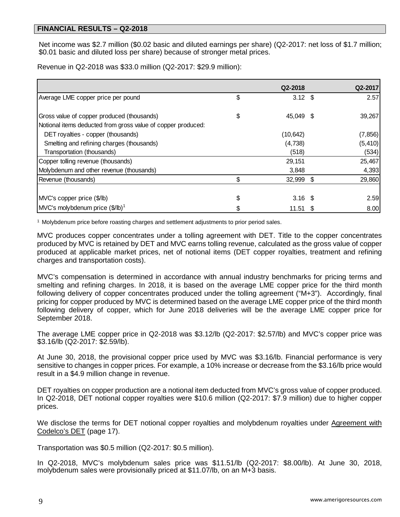Net income was \$2.7 million (\$0.02 basic and diluted earnings per share) (Q2-2017: net loss of \$1.7 million; \$0.01 basic and diluted loss per share) because of stronger metal prices.

Revenue in Q2-2018 was \$33.0 million (Q2-2017: \$29.9 million):

|                                                              |    | Q2-2018   |      | Q2-2017  |
|--------------------------------------------------------------|----|-----------|------|----------|
| Average LME copper price per pound                           | \$ | $3.12$ \$ |      | 2.57     |
|                                                              |    |           |      |          |
| Gross value of copper produced (thousands)                   | \$ | 45,049 \$ |      | 39,267   |
| Notional items deducted from gross value of copper produced: |    |           |      |          |
| DET royalties - copper (thousands)                           |    | (10, 642) |      | (7, 856) |
| Smelting and refining charges (thousands)                    |    | (4,738)   |      | (5, 410) |
| Transportation (thousands)                                   |    | (518)     |      | (534)    |
| Copper tolling revenue (thousands)                           |    | 29,151    |      | 25,467   |
| Molybdenum and other revenue (thousands)                     |    | 3,848     |      | 4,393    |
| Revenue (thousands)                                          | \$ | 32,999 \$ |      | 29,860   |
|                                                              |    |           |      |          |
| MVC's copper price (\$/lb)                                   | S  | $3.16$ \$ |      | 2.59     |
| $\left $ MVC's molybdenum price $(\frac{6}{10})^1$           |    | 11.51     | - \$ | 8.00     |

<sup>1</sup> Molybdenum price before roasting charges and settlement adjustments to prior period sales.

MVC produces copper concentrates under a tolling agreement with DET. Title to the copper concentrates produced by MVC is retained by DET and MVC earns tolling revenue, calculated as the gross value of copper produced at applicable market prices, net of notional items (DET copper royalties, treatment and refining charges and transportation costs).

MVC's compensation is determined in accordance with annual industry benchmarks for pricing terms and smelting and refining charges. In 2018, it is based on the average LME copper price for the third month following delivery of copper concentrates produced under the tolling agreement ("M+3"). Accordingly, final pricing for copper produced by MVC is determined based on the average LME copper price of the third month following delivery of copper, which for June 2018 deliveries will be the average LME copper price for September 2018.

The average LME copper price in Q2-2018 was \$3.12/lb (Q2-2017: \$2.57/lb) and MVC's copper price was \$3.16/lb (Q2-2017: \$2.59/lb).

At June 30, 2018, the provisional copper price used by MVC was \$3.16/lb. Financial performance is very sensitive to changes in copper prices. For example, a 10% increase or decrease from the \$3.16/lb price would result in a \$4.9 million change in revenue.

DET royalties on copper production are a notional item deducted from MVC's gross value of copper produced. In Q2-2018, DET notional copper royalties were \$10.6 million (Q2-2017: \$7.9 million) due to higher copper prices.

We disclose the terms for DET notional copper royalties and molybdenum royalties under Agreement with Codelco's DET (page 17).

Transportation was \$0.5 million (Q2-2017: \$0.5 million).

In Q2-2018, MVC's molybdenum sales price was \$11.51/lb (Q2-2017: \$8.00/lb). At June 30, 2018, molybdenum sales were provisionally priced at \$11.07/lb, on an M+3 basis.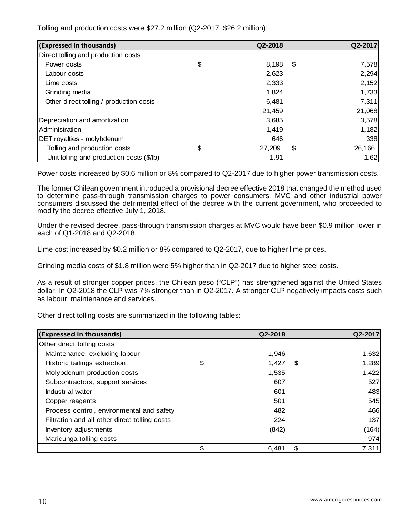Tolling and production costs were \$27.2 million (Q2-2017: \$26.2 million):

| (Expressed in thousands)                  | Q2-2018      | Q2-2017      |
|-------------------------------------------|--------------|--------------|
| Direct tolling and production costs       |              |              |
| Power costs                               | \$<br>8,198  | \$<br>7,578  |
| Labour costs                              | 2,623        | 2,294        |
| Lime costs                                | 2,333        | 2,152        |
| Grinding media                            | 1,824        | 1,733        |
| Other direct tolling / production costs   | 6,481        | 7,311        |
|                                           | 21,459       | 21,068       |
| Depreciation and amortization             | 3,685        | 3,578        |
| Administration                            | 1,419        | 1,182        |
| DET royalties - molybdenum                | 646          | 338          |
| Tolling and production costs              | \$<br>27,209 | \$<br>26,166 |
| Unit tolling and production costs (\$/lb) | 1.91         | 1.62         |

Power costs increased by \$0.6 million or 8% compared to Q2-2017 due to higher power transmission costs.

The former Chilean government introduced a provisional decree effective 2018 that changed the method used to determine pass-through transmission charges to power consumers. MVC and other industrial power consumers discussed the detrimental effect of the decree with the current government, who proceeded to modify the decree effective July 1, 2018.

Under the revised decree, pass-through transmission charges at MVC would have been \$0.9 million lower in each of Q1-2018 and Q2-2018.

Lime cost increased by \$0.2 million or 8% compared to Q2-2017, due to higher lime prices.

Grinding media costs of \$1.8 million were 5% higher than in Q2-2017 due to higher steel costs.

As a result of stronger copper prices, the Chilean peso ("CLP") has strengthened against the United States dollar. In Q2-2018 the CLP was 7% stronger than in Q2-2017. A stronger CLP negatively impacts costs such as labour, maintenance and services.

Other direct tolling costs are summarized in the following tables:

| (Expressed in thousands)                      | Q2-2018     | Q2-2017     |
|-----------------------------------------------|-------------|-------------|
| Other direct tolling costs                    |             |             |
| Maintenance, excluding labour                 | 1,946       | 1,632       |
| Historic tailings extraction                  | \$<br>1,427 | \$<br>1,289 |
| Molybdenum production costs                   | 1,535       | 1,422       |
| Subcontractors, support services              | 607         | 527         |
| Industrial water                              | 601         | 483         |
| Copper reagents                               | 501         | 545         |
| Process control, environmental and safety     | 482         | 466         |
| Filtration and all other direct tolling costs | 224         | 137         |
| Inventory adjustments                         | (842)       | (164)       |
| Maricunga tolling costs                       |             | 974         |
|                                               | \$<br>6,481 | \$<br>7,311 |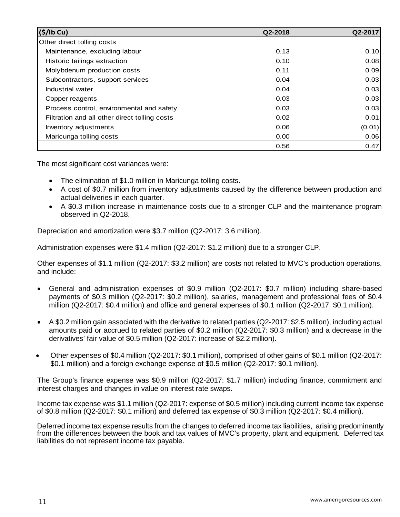| (S/lb Cu)                                     | Q2-2018 | Q2-2017 |
|-----------------------------------------------|---------|---------|
| Other direct tolling costs                    |         |         |
| Maintenance, excluding labour                 | 0.13    | 0.10    |
| Historic tailings extraction                  | 0.10    | 0.08    |
| Molybdenum production costs                   | 0.11    | 0.09    |
| Subcontractors, support services              | 0.04    | 0.03    |
| Industrial water                              | 0.04    | 0.03    |
| Copper reagents                               | 0.03    | 0.03    |
| Process control, environmental and safety     | 0.03    | 0.03    |
| Filtration and all other direct tolling costs | 0.02    | 0.01    |
| Inventory adjustments                         | 0.06    | (0.01)  |
| Maricunga tolling costs                       | 0.00    | 0.06    |
|                                               | 0.56    | 0.47    |

The most significant cost variances were:

- The elimination of \$1.0 million in Maricunga tolling costs.
- A cost of \$0.7 million from inventory adjustments caused by the difference between production and actual deliveries in each quarter.
- A \$0.3 million increase in maintenance costs due to a stronger CLP and the maintenance program observed in Q2-2018.

Depreciation and amortization were \$3.7 million (Q2-2017: 3.6 million).

Administration expenses were \$1.4 million (Q2-2017: \$1.2 million) due to a stronger CLP.

Other expenses of \$1.1 million (Q2-2017: \$3.2 million) are costs not related to MVC's production operations, and include:

- General and administration expenses of \$0.9 million (Q2-2017: \$0.7 million) including share-based payments of \$0.3 million (Q2-2017: \$0.2 million), salaries, management and professional fees of \$0.4 million (Q2-2017: \$0.4 million) and office and general expenses of \$0.1 million (Q2-2017: \$0.1 million).
- A \$0.2 million gain associated with the derivative to related parties (Q2-2017: \$2.5 million), including actual amounts paid or accrued to related parties of \$0.2 million (Q2-2017: \$0.3 million) and a decrease in the derivatives' fair value of \$0.5 million (Q2-2017: increase of \$2.2 million).
- Other expenses of \$0.4 million (Q2-2017: \$0.1 million), comprised of other gains of \$0.1 million (Q2-2017: \$0.1 million) and a foreign exchange expense of \$0.5 million (Q2-2017: \$0.1 million).

The Group's finance expense was \$0.9 million (Q2-2017: \$1.7 million) including finance, commitment and interest charges and changes in value on interest rate swaps.

Income tax expense was \$1.1 million (Q2-2017: expense of \$0.5 million) including current income tax expense of \$0.8 million (Q2-2017: \$0.1 million) and deferred tax expense of \$0.3 million (Q2-2017: \$0.4 million).

Deferred income tax expense results from the changes to deferred income tax liabilities, arising predominantly from the differences between the book and tax values of MVC's property, plant and equipment. Deferred tax liabilities do not represent income tax payable.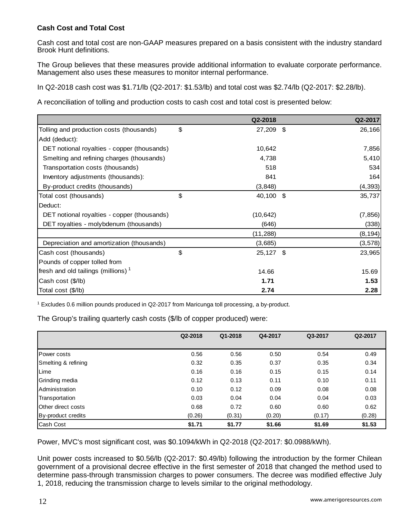## **Cash Cost and Total Cost**

Cash cost and total cost are non-GAAP measures prepared on a basis consistent with the industry standard Brook Hunt definitions.

The Group believes that these measures provide additional information to evaluate corporate performance. Management also uses these measures to monitor internal performance.

In Q2-2018 cash cost was \$1.71/lb (Q2-2017: \$1.53/lb) and total cost was \$2.74/lb (Q2-2017: \$2.28/lb).

A reconciliation of tolling and production costs to cash cost and total cost is presented below:

|                                             | Q2-2018           | Q2-2017  |
|---------------------------------------------|-------------------|----------|
| Tolling and production costs (thousands)    | \$<br>27,209 \$   | 26,166   |
| Add (deduct):                               |                   |          |
| DET notional royalties - copper (thousands) | 10,642            | 7,856    |
| Smelting and refining charges (thousands)   | 4,738             | 5,410    |
| Transportation costs (thousands)            | 518               | 534      |
| Inventory adjustments (thousands):          | 841               | 164      |
| By-product credits (thousands)              | (3, 848)          | (4, 393) |
| Total cost (thousands)                      | \$<br>40,100 \$   | 35,737   |
| Deduct:                                     |                   |          |
| DET notional royalties - copper (thousands) | (10, 642)         | (7, 856) |
| DET royalties - molybdenum (thousands)      | (646)             | (338)    |
|                                             | (11, 288)         | (8, 194) |
| Depreciation and amortization (thousands)   | (3,685)           | (3, 578) |
| Cash cost (thousands)                       | \$<br>$25,127$ \$ | 23,965   |
| Pounds of copper tolled from                |                   |          |
| fresh and old tailings (millions) $1$       | 14.66             | 15.69    |
| Cash cost (\$/lb)                           | 1.71              | 1.53     |
| Total cost (\$/lb)                          | 2.74              | 2.28     |

<sup>1</sup> Excludes 0.6 million pounds produced in Q2-2017 from Maricunga toll processing, a by-product.

|                       | Q2-2018 | Q1-2018 | Q4-2017 | Q3-2017 | Q2-2017 |
|-----------------------|---------|---------|---------|---------|---------|
|                       |         |         |         |         |         |
| <b>Power costs</b>    | 0.56    | 0.56    | 0.50    | 0.54    | 0.49    |
| Smelting & refining   | 0.32    | 0.35    | 0.37    | 0.35    | 0.34    |
| Lime                  | 0.16    | 0.16    | 0.15    | 0.15    | 0.14    |
| Grinding media        | 0.12    | 0.13    | 0.11    | 0.10    | 0.11    |
| <b>Administration</b> | 0.10    | 0.12    | 0.09    | 0.08    | 0.08    |
| Transportation        | 0.03    | 0.04    | 0.04    | 0.04    | 0.03    |
| Other direct costs    | 0.68    | 0.72    | 0.60    | 0.60    | 0.62    |
| By-product credits    | (0.26)  | (0.31)  | (0.20)  | (0.17)  | (0.28)  |
| Cash Cost             | \$1.71  | \$1.77  | \$1.66  | \$1.69  | \$1.53  |

Power, MVC's most significant cost, was \$0.1094/kWh in Q2-2018 (Q2-2017: \$0.0988/kWh).

Unit power costs increased to \$0.56/lb (Q2-2017: \$0.49/lb) following the introduction by the former Chilean government of a provisional decree effective in the first semester of 2018 that changed the method used to determine pass-through transmission charges to power consumers. The decree was modified effective July 1, 2018, reducing the transmission charge to levels similar to the original methodology.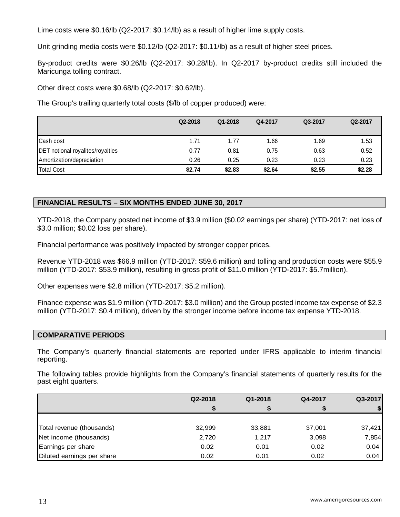Lime costs were \$0.16/lb (Q2-2017: \$0.14/lb) as a result of higher lime supply costs.

Unit grinding media costs were \$0.12/lb (Q2-2017: \$0.11/lb) as a result of higher steel prices.

By-product credits were \$0.26/lb (Q2-2017: \$0.28/lb). In Q2-2017 by-product credits still included the Maricunga tolling contract.

Other direct costs were \$0.68/lb (Q2-2017: \$0.62/lb).

The Group's trailing quarterly total costs (\$/lb of copper produced) were:

|                                         | Q2-2018 | Q1-2018 | Q4-2017 | Q3-2017 | Q2-2017 |
|-----------------------------------------|---------|---------|---------|---------|---------|
| Cash cost                               | 1.71    | 1.77    | 1.66    | 1.69    | 1.53    |
| <b>DET</b> notional royalites/royalties | 0.77    | 0.81    | 0.75    | 0.63    | 0.52    |
| Amortization/depreciation               | 0.26    | 0.25    | 0.23    | 0.23    | 0.23    |
| Total Cost                              | \$2.74  | \$2.83  | \$2.64  | \$2.55  | \$2.28  |

### **FINANCIAL RESULTS – SIX MONTHS ENDED JUNE 30, 2017**

YTD-2018, the Company posted net income of \$3.9 million (\$0.02 earnings per share) (YTD-2017: net loss of \$3.0 million; \$0.02 loss per share).

Financial performance was positively impacted by stronger copper prices.

Revenue YTD-2018 was \$66.9 million (YTD-2017: \$59.6 million) and tolling and production costs were \$55.9 million (YTD-2017: \$53.9 million), resulting in gross profit of \$11.0 million (YTD-2017: \$5.7million).

Other expenses were \$2.8 million (YTD-2017: \$5.2 million).

Finance expense was \$1.9 million (YTD-2017: \$3.0 million) and the Group posted income tax expense of \$2.3 million (YTD-2017: \$0.4 million), driven by the stronger income before income tax expense YTD-2018.

### **COMPARATIVE PERIODS**

The Company's quarterly financial statements are reported under IFRS applicable to interim financial reporting.

The following tables provide highlights from the Company's financial statements of quarterly results for the past eight quarters.

|                            | Q2-2018 | Q1-2018 | Q4-2017 | Q3-2017 |
|----------------------------|---------|---------|---------|---------|
|                            |         |         | 5       |         |
|                            |         |         |         |         |
| Total revenue (thousands)  | 32,999  | 33,881  | 37,001  | 37,421  |
| Net income (thousands)     | 2,720   | 1,217   | 3,098   | 7,854   |
| Earnings per share         | 0.02    | 0.01    | 0.02    | 0.04    |
| Diluted earnings per share | 0.02    | 0.01    | 0.02    | 0.04    |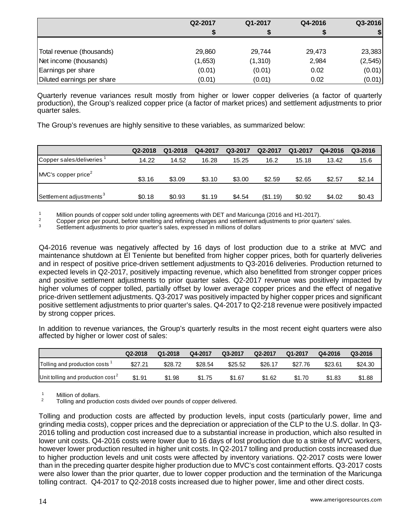|                            | Q2-2017 | Q1-2017  | Q4-2016 | Q3-2016  |
|----------------------------|---------|----------|---------|----------|
|                            |         |          |         |          |
|                            |         |          |         |          |
| Total revenue (thousands)  | 29,860  | 29,744   | 29,473  | 23,383   |
| Net income (thousands)     | (1,653) | (1, 310) | 2,984   | (2, 545) |
| Earnings per share         | (0.01)  | (0.01)   | 0.02    | (0.01)   |
| Diluted earnings per share | (0.01)  | (0.01)   | 0.02    | (0.01)   |

Quarterly revenue variances result mostly from higher or lower copper deliveries (a factor of quarterly production), the Group's realized copper price (a factor of market prices) and settlement adjustments to prior quarter sales.

The Group's revenues are highly sensitive to these variables, as summarized below:

|                                     | Q2-2018 | Q1-2018 | Q4-2017 | Q3-2017 | Q2-2017  | Q1-2017 | Q4-2016 | Q3-2016 |
|-------------------------------------|---------|---------|---------|---------|----------|---------|---------|---------|
| Copper sales/deliveries             | 14.22   | 14.52   | 16.28   | 15.25   | 16.2     | 15.18   | 13.42   | 15.6    |
| MVC's copper price <sup>2</sup>     | \$3.16  | \$3.09  | \$3.10  | \$3.00  | \$2.59   | \$2.65  | \$2.57  | \$2.14  |
| Settlement adjustments <sup>3</sup> | \$0.18  | \$0.93  | \$1.19  | \$4.54  | (\$1.19) | \$0.92  | \$4.02  | \$0.43  |

<sup>1</sup> Million pounds of copper sold under tolling agreements with DET and Maricunga (2016 and H1-2017).<br><sup>2</sup> Copper price per pound, before smelting and refining charges and settlement adjustments to prior quarters' sales.<br><sup></sup>

Q4-2016 revenue was negatively affected by 16 days of lost production due to a strike at MVC and maintenance shutdown at El Teniente but benefited from higher copper prices, both for quarterly deliveries and in respect of positive price-driven settlement adjustments to Q3-2016 deliveries. Production returned to expected levels in Q2-2017, positively impacting revenue, which also benefitted from stronger copper prices and positive settlement adjustments to prior quarter sales. Q2-2017 revenue was positively impacted by higher volumes of copper tolled, partially offset by lower average copper prices and the effect of negative price-driven settlement adjustments. Q3-2017 was positively impacted by higher copper prices and significant positive settlement adjustments to prior quarter's sales. Q4-2017 to Q2-218 revenue were positively impacted by strong copper prices.

In addition to revenue variances, the Group's quarterly results in the most recent eight quarters were also affected by higher or lower cost of sales:

|                                      | Q2-2018 | Q1-2018 | Q4-2017 | Q3-2017 | Q2-2017 | Q1-2017 | Q4-2016 | Q3-2016 |
|--------------------------------------|---------|---------|---------|---------|---------|---------|---------|---------|
| Tolling and production costs         | \$27.21 | \$28.72 | \$28.54 | \$25.52 | \$26.17 | \$27.76 | \$23.61 | \$24.30 |
| Unit tolling and production $cost^2$ | \$1.91  | \$1.98  | \$1.75  | \$1.67  | \$1.62  | \$1.70  | \$1.83  | \$1.88  |

<sup>1</sup> Million of dollars.<br><sup>2</sup> Tolling and production costs divided over pounds of copper delivered.

Tolling and production costs are affected by production levels, input costs (particularly power, lime and grinding media costs), copper prices and the depreciation or appreciation of the CLP to the U.S. dollar. In Q3- 2016 tolling and production cost increased due to a substantial increase in production, which also resulted in lower unit costs. Q4-2016 costs were lower due to 16 days of lost production due to a strike of MVC workers, however lower production resulted in higher unit costs. In Q2-2017 tolling and production costs increased due to higher production levels and unit costs were affected by inventory variations. Q2-2017 costs were lower than in the preceding quarter despite higher production due to MVC's cost containment efforts. Q3-2017 costs were also lower than the prior quarter, due to lower copper production and the termination of the Maricunga tolling contract. Q4-2017 to Q2-2018 costs increased due to higher power, lime and other direct costs.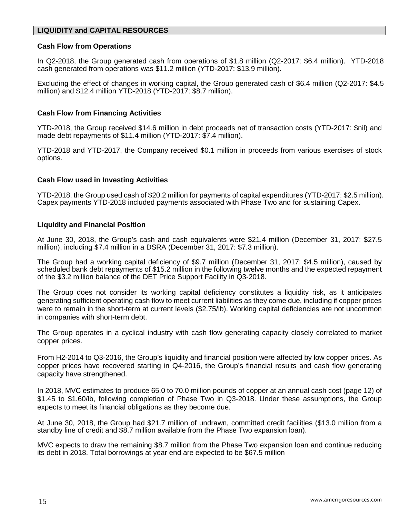### **LIQUIDITY and CAPITAL RESOURCES**

#### **Cash Flow from Operations**

In Q2-2018, the Group generated cash from operations of \$1.8 million (Q2-2017: \$6.4 million). YTD-2018 cash generated from operations was \$11.2 million (YTD-2017: \$13.9 million).

Excluding the effect of changes in working capital, the Group generated cash of \$6.4 million (Q2-2017: \$4.5 million) and \$12.4 million YTD-2018 (YTD-2017: \$8.7 million).

#### **Cash Flow from Financing Activities**

YTD-2018, the Group received \$14.6 million in debt proceeds net of transaction costs (YTD-2017: \$nil) and made debt repayments of \$11.4 million (YTD-2017: \$7.4 million).

YTD-2018 and YTD-2017, the Company received \$0.1 million in proceeds from various exercises of stock options.

#### **Cash Flow used in Investing Activities**

YTD-2018, the Group used cash of \$20.2 million for payments of capital expenditures (YTD-2017: \$2.5 million). Capex payments YTD-2018 included payments associated with Phase Two and for sustaining Capex.

#### **Liquidity and Financial Position**

At June 30, 2018, the Group's cash and cash equivalents were \$21.4 million (December 31, 2017: \$27.5 million), including \$7.4 million in a DSRA (December 31, 2017: \$7.3 million).

The Group had a working capital deficiency of \$9.7 million (December 31, 2017: \$4.5 million), caused by scheduled bank debt repayments of \$15.2 million in the following twelve months and the expected repayment of the \$3.2 million balance of the DET Price Support Facility in Q3-2018.

The Group does not consider its working capital deficiency constitutes a liquidity risk, as it anticipates generating sufficient operating cash flow to meet current liabilities as they come due, including if copper prices were to remain in the short-term at current levels (\$2.75/lb). Working capital deficiencies are not uncommon in companies with short-term debt.

The Group operates in a cyclical industry with cash flow generating capacity closely correlated to market copper prices.

From H2-2014 to Q3-2016, the Group's liquidity and financial position were affected by low copper prices. As copper prices have recovered starting in Q4-2016, the Group's financial results and cash flow generating capacity have strengthened.

In 2018, MVC estimates to produce 65.0 to 70.0 million pounds of copper at an annual cash cost (page 12) of \$1.45 to \$1.60/lb, following completion of Phase Two in Q3-2018. Under these assumptions, the Group expects to meet its financial obligations as they become due.

At June 30, 2018, the Group had \$21.7 million of undrawn, committed credit facilities (\$13.0 million from a standby line of credit and \$8.7 million available from the Phase Two expansion loan).

MVC expects to draw the remaining \$8.7 million from the Phase Two expansion loan and continue reducing its debt in 2018. Total borrowings at year end are expected to be \$67.5 million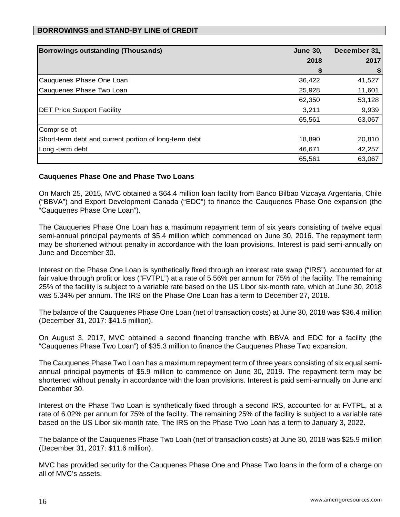## **BORROWINGS and STAND-BY LINE of CREDIT**

| <b>Borrowings outstanding (Thousands)</b>             | <b>June 30,</b> | December 31, |
|-------------------------------------------------------|-----------------|--------------|
|                                                       | 2018            | 2017         |
|                                                       | S               | \$           |
| Cauquenes Phase One Loan                              | 36,422          | 41,527       |
| Cauquenes Phase Two Loan                              | 25,928          | 11,601       |
|                                                       | 62,350          | 53,128       |
| <b>DET Price Support Facility</b>                     | 3,211           | 9,939        |
|                                                       | 65,561          | 63,067       |
| Comprise of:                                          |                 |              |
| Short-term debt and current portion of long-term debt | 18,890          | 20,810       |
| Long -term debt                                       | 46,671          | 42,257       |
|                                                       | 65,561          | 63,067       |

### **Cauquenes Phase One and Phase Two Loans**

On March 25, 2015, MVC obtained a \$64.4 million loan facility from Banco Bilbao Vizcaya Argentaria, Chile ("BBVA") and Export Development Canada ("EDC") to finance the Cauquenes Phase One expansion (the "Cauquenes Phase One Loan").

The Cauquenes Phase One Loan has a maximum repayment term of six years consisting of twelve equal semi-annual principal payments of \$5.4 million which commenced on June 30, 2016. The repayment term may be shortened without penalty in accordance with the loan provisions. Interest is paid semi-annually on June and December 30.

Interest on the Phase One Loan is synthetically fixed through an interest rate swap ("IRS"), accounted for at fair value through profit or loss ("FVTPL") at a rate of 5.56% per annum for 75% of the facility. The remaining 25% of the facility is subject to a variable rate based on the US Libor six-month rate, which at June 30, 2018 was 5.34% per annum. The IRS on the Phase One Loan has a term to December 27, 2018.

The balance of the Cauquenes Phase One Loan (net of transaction costs) at June 30, 2018 was \$36.4 million (December 31, 2017: \$41.5 million).

On August 3, 2017, MVC obtained a second financing tranche with BBVA and EDC for a facility (the "Cauquenes Phase Two Loan") of \$35.3 million to finance the Cauquenes Phase Two expansion.

The Cauquenes Phase Two Loan has a maximum repayment term of three years consisting of six equal semiannual principal payments of \$5.9 million to commence on June 30, 2019. The repayment term may be shortened without penalty in accordance with the loan provisions. Interest is paid semi-annually on June and December 30.

Interest on the Phase Two Loan is synthetically fixed through a second IRS, accounted for at FVTPL, at a rate of 6.02% per annum for 75% of the facility. The remaining 25% of the facility is subject to a variable rate based on the US Libor six-month rate. The IRS on the Phase Two Loan has a term to January 3, 2022.

The balance of the Cauquenes Phase Two Loan (net of transaction costs) at June 30, 2018 was \$25.9 million (December 31, 2017: \$11.6 million).

MVC has provided security for the Cauquenes Phase One and Phase Two loans in the form of a charge on all of MVC's assets.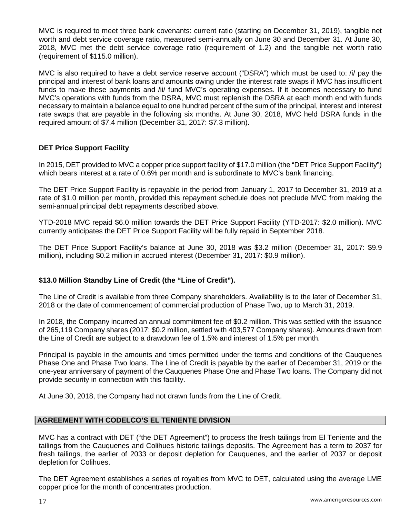MVC is required to meet three bank covenants: current ratio (starting on December 31, 2019), tangible net worth and debt service coverage ratio, measured semi-annually on June 30 and December 31. At June 30, 2018, MVC met the debt service coverage ratio (requirement of 1.2) and the tangible net worth ratio (requirement of \$115.0 million).

MVC is also required to have a debt service reserve account ("DSRA") which must be used to: /i/ pay the principal and interest of bank loans and amounts owing under the interest rate swaps if MVC has insufficient funds to make these payments and /ii/ fund MVC's operating expenses. If it becomes necessary to fund MVC's operations with funds from the DSRA, MVC must replenish the DSRA at each month end with funds necessary to maintain a balance equal to one hundred percent of the sum of the principal, interest and interest rate swaps that are payable in the following six months. At June 30, 2018, MVC held DSRA funds in the required amount of \$7.4 million (December 31, 2017: \$7.3 million).

## **DET Price Support Facility**

In 2015, DET provided to MVC a copper price support facility of \$17.0 million (the "DET Price Support Facility") which bears interest at a rate of 0.6% per month and is subordinate to MVC's bank financing.

The DET Price Support Facility is repayable in the period from January 1, 2017 to December 31, 2019 at a rate of \$1.0 million per month, provided this repayment schedule does not preclude MVC from making the semi-annual principal debt repayments described above.

YTD-2018 MVC repaid \$6.0 million towards the DET Price Support Facility (YTD-2017: \$2.0 million). MVC currently anticipates the DET Price Support Facility will be fully repaid in September 2018.

The DET Price Support Facility's balance at June 30, 2018 was \$3.2 million (December 31, 2017: \$9.9 million), including \$0.2 million in accrued interest (December 31, 2017: \$0.9 million).

### **\$13.0 Million Standby Line of Credit (the "Line of Credit").**

The Line of Credit is available from three Company shareholders. Availability is to the later of December 31, 2018 or the date of commencement of commercial production of Phase Two, up to March 31, 2019.

In 2018, the Company incurred an annual commitment fee of \$0.2 million. This was settled with the issuance of 265,119 Company shares (2017: \$0.2 million, settled with 403,577 Company shares). Amounts drawn from the Line of Credit are subject to a drawdown fee of 1.5% and interest of 1.5% per month.

Principal is payable in the amounts and times permitted under the terms and conditions of the Cauquenes Phase One and Phase Two loans. The Line of Credit is payable by the earlier of December 31, 2019 or the one-year anniversary of payment of the Cauquenes Phase One and Phase Two loans. The Company did not provide security in connection with this facility.

At June 30, 2018, the Company had not drawn funds from the Line of Credit.

### **AGREEMENT WITH CODELCO'S EL TENIENTE DIVISION**

MVC has a contract with DET ("the DET Agreement") to process the fresh tailings from El Teniente and the tailings from the Cauquenes and Colihues historic tailings deposits. The Agreement has a term to 2037 for fresh tailings, the earlier of 2033 or deposit depletion for Cauquenes, and the earlier of 2037 or deposit depletion for Colihues.

The DET Agreement establishes a series of royalties from MVC to DET, calculated using the average LME copper price for the month of concentrates production.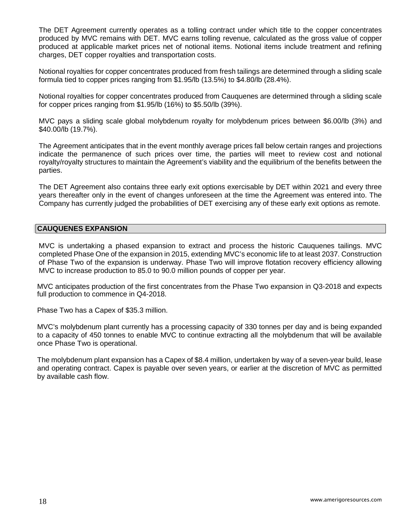The DET Agreement currently operates as a tolling contract under which title to the copper concentrates produced by MVC remains with DET. MVC earns tolling revenue, calculated as the gross value of copper produced at applicable market prices net of notional items. Notional items include treatment and refining charges, DET copper royalties and transportation costs.

Notional royalties for copper concentrates produced from fresh tailings are determined through a sliding scale formula tied to copper prices ranging from \$1.95/lb (13.5%) to \$4.80/lb (28.4%).

Notional royalties for copper concentrates produced from Cauquenes are determined through a sliding scale for copper prices ranging from \$1.95/lb (16%) to \$5.50/lb (39%).

MVC pays a sliding scale global molybdenum royalty for molybdenum prices between \$6.00/lb (3%) and \$40.00/lb (19.7%).

The Agreement anticipates that in the event monthly average prices fall below certain ranges and projections indicate the permanence of such prices over time, the parties will meet to review cost and notional royalty/royalty structures to maintain the Agreement's viability and the equilibrium of the benefits between the parties.

The DET Agreement also contains three early exit options exercisable by DET within 2021 and every three years thereafter only in the event of changes unforeseen at the time the Agreement was entered into. The Company has currently judged the probabilities of DET exercising any of these early exit options as remote.

#### **CAUQUENES EXPANSION**

MVC is undertaking a phased expansion to extract and process the historic Cauquenes tailings. MVC completed Phase One of the expansion in 2015, extending MVC's economic life to at least 2037. Construction of Phase Two of the expansion is underway. Phase Two will improve flotation recovery efficiency allowing MVC to increase production to 85.0 to 90.0 million pounds of copper per year.

MVC anticipates production of the first concentrates from the Phase Two expansion in Q3-2018 and expects full production to commence in Q4-2018.

Phase Two has a Capex of \$35.3 million.

MVC's molybdenum plant currently has a processing capacity of 330 tonnes per day and is being expanded to a capacity of 450 tonnes to enable MVC to continue extracting all the molybdenum that will be available once Phase Two is operational.

The molybdenum plant expansion has a Capex of \$8.4 million, undertaken by way of a seven-year build, lease and operating contract. Capex is payable over seven years, or earlier at the discretion of MVC as permitted by available cash flow.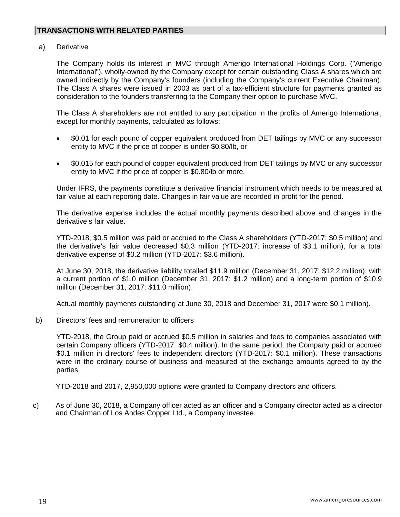a) Derivative

The Company holds its interest in MVC through Amerigo International Holdings Corp. ("Amerigo International"), wholly-owned by the Company except for certain outstanding Class A shares which are owned indirectly by the Company's founders (including the Company's current Executive Chairman). The Class A shares were issued in 2003 as part of a tax-efficient structure for payments granted as consideration to the founders transferring to the Company their option to purchase MVC.

The Class A shareholders are not entitled to any participation in the profits of Amerigo International, except for monthly payments, calculated as follows:

- \$0.01 for each pound of copper equivalent produced from DET tailings by MVC or any successor entity to MVC if the price of copper is under \$0.80/lb, or
- \$0.015 for each pound of copper equivalent produced from DET tailings by MVC or any successor entity to MVC if the price of copper is \$0.80/lb or more.

Under IFRS, the payments constitute a derivative financial instrument which needs to be measured at fair value at each reporting date. Changes in fair value are recorded in profit for the period.

The derivative expense includes the actual monthly payments described above and changes in the derivative's fair value.

YTD-2018, \$0.5 million was paid or accrued to the Class A shareholders (YTD-2017: \$0.5 million) and the derivative's fair value decreased \$0.3 million (YTD-2017: increase of \$3.1 million), for a total derivative expense of \$0.2 million (YTD-2017: \$3.6 million).

At June 30, 2018, the derivative liability totalled \$11.9 million (December 31, 2017: \$12.2 million), with a current portion of \$1.0 million (December 31, 2017: \$1.2 million) and a long-term portion of \$10.9 million (December 31, 2017: \$11.0 million).

Actual monthly payments outstanding at June 30, 2018 and December 31, 2017 were \$0.1 million).

. b) Directors' fees and remuneration to officers

> YTD-2018, the Group paid or accrued \$0.5 million in salaries and fees to companies associated with certain Company officers (YTD-2017: \$0.4 million). In the same period, the Company paid or accrued \$0.1 million in directors' fees to independent directors (YTD-2017: \$0.1 million). These transactions were in the ordinary course of business and measured at the exchange amounts agreed to by the parties.

YTD-2018 and 2017, 2,950,000 options were granted to Company directors and officers.

c) As of June 30, 2018, a Company officer acted as an officer and a Company director acted as a director and Chairman of Los Andes Copper Ltd., a Company investee.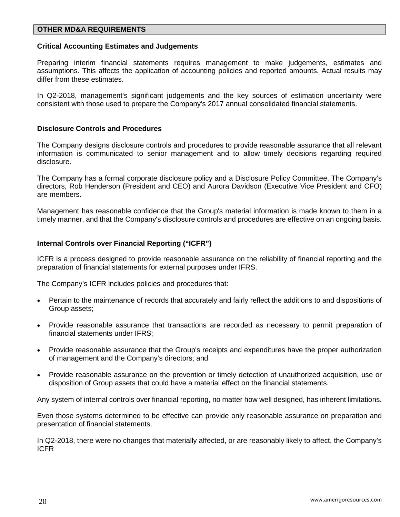### **OTHER MD&A REQUIREMENTS**

#### **Critical Accounting Estimates and Judgements**

Preparing interim financial statements requires management to make judgements, estimates and assumptions. This affects the application of accounting policies and reported amounts. Actual results may differ from these estimates.

In Q2-2018, management's significant judgements and the key sources of estimation uncertainty were consistent with those used to prepare the Company's 2017 annual consolidated financial statements.

#### **Disclosure Controls and Procedures**

The Company designs disclosure controls and procedures to provide reasonable assurance that all relevant information is communicated to senior management and to allow timely decisions regarding required disclosure.

The Company has a formal corporate disclosure policy and a Disclosure Policy Committee. The Company's directors, Rob Henderson (President and CEO) and Aurora Davidson (Executive Vice President and CFO) are members.

Management has reasonable confidence that the Group's material information is made known to them in a timely manner, and that the Company's disclosure controls and procedures are effective on an ongoing basis.

#### **Internal Controls over Financial Reporting ("ICFR")**

ICFR is a process designed to provide reasonable assurance on the reliability of financial reporting and the preparation of financial statements for external purposes under IFRS.

The Company's ICFR includes policies and procedures that:

- Pertain to the maintenance of records that accurately and fairly reflect the additions to and dispositions of Group assets;
- Provide reasonable assurance that transactions are recorded as necessary to permit preparation of financial statements under IFRS;
- Provide reasonable assurance that the Group's receipts and expenditures have the proper authorization of management and the Company's directors; and
- Provide reasonable assurance on the prevention or timely detection of unauthorized acquisition, use or disposition of Group assets that could have a material effect on the financial statements.

Any system of internal controls over financial reporting, no matter how well designed, has inherent limitations.

Even those systems determined to be effective can provide only reasonable assurance on preparation and presentation of financial statements.

In Q2-2018, there were no changes that materially affected, or are reasonably likely to affect, the Company's ICFR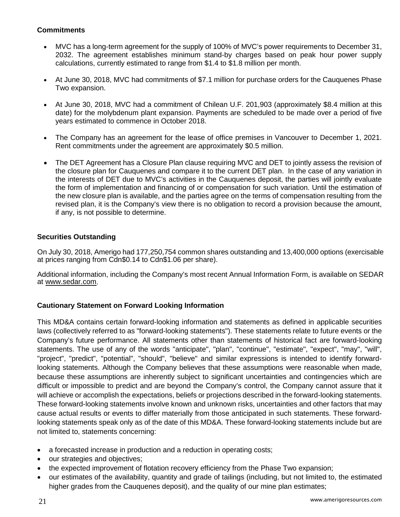## **Commitments**

- MVC has a long-term agreement for the supply of 100% of MVC's power requirements to December 31, 2032. The agreement establishes minimum stand-by charges based on peak hour power supply calculations, currently estimated to range from \$1.4 to \$1.8 million per month.
- At June 30, 2018, MVC had commitments of \$7.1 million for purchase orders for the Cauquenes Phase Two expansion.
- At June 30, 2018, MVC had a commitment of Chilean U.F. 201,903 (approximately \$8.4 million at this date) for the molybdenum plant expansion. Payments are scheduled to be made over a period of five years estimated to commence in October 2018.
- The Company has an agreement for the lease of office premises in Vancouver to December 1, 2021. Rent commitments under the agreement are approximately \$0.5 million.
- The DET Agreement has a Closure Plan clause requiring MVC and DET to jointly assess the revision of the closure plan for Cauquenes and compare it to the current DET plan. In the case of any variation in the interests of DET due to MVC's activities in the Cauquenes deposit, the parties will jointly evaluate the form of implementation and financing of or compensation for such variation. Until the estimation of the new closure plan is available, and the parties agree on the terms of compensation resulting from the revised plan, it is the Company's view there is no obligation to record a provision because the amount, if any, is not possible to determine.

## **Securities Outstanding**

On July 30, 2018, Amerigo had 177,250,754 common shares outstanding and 13,400,000 options (exercisable at prices ranging from Cdn\$0.14 to Cdn\$1.06 per share).

Additional information, including the Company's most recent Annual Information Form, is available on SEDAR at [www.sedar.com.](http://www.sedar.com/)

# **Cautionary Statement on Forward Looking Information**

This MD&A contains certain forward-looking information and statements as defined in applicable securities laws (collectively referred to as "forward-looking statements"). These statements relate to future events or the Company's future performance. All statements other than statements of historical fact are forward-looking statements. The use of any of the words "anticipate", "plan", "continue", "estimate", "expect", "may", "will", "project", "predict", "potential", "should", "believe" and similar expressions is intended to identify forwardlooking statements. Although the Company believes that these assumptions were reasonable when made, because these assumptions are inherently subject to significant uncertainties and contingencies which are difficult or impossible to predict and are beyond the Company's control, the Company cannot assure that it will achieve or accomplish the expectations, beliefs or projections described in the forward-looking statements. These forward-looking statements involve known and unknown risks, uncertainties and other factors that may cause actual results or events to differ materially from those anticipated in such statements. These forwardlooking statements speak only as of the date of this MD&A. These forward-looking statements include but are not limited to, statements concerning:

- a forecasted increase in production and a reduction in operating costs;
- our strategies and objectives;
- the expected improvement of flotation recovery efficiency from the Phase Two expansion;
- our estimates of the availability, quantity and grade of tailings (including, but not limited to, the estimated higher grades from the Cauquenes deposit), and the quality of our mine plan estimates;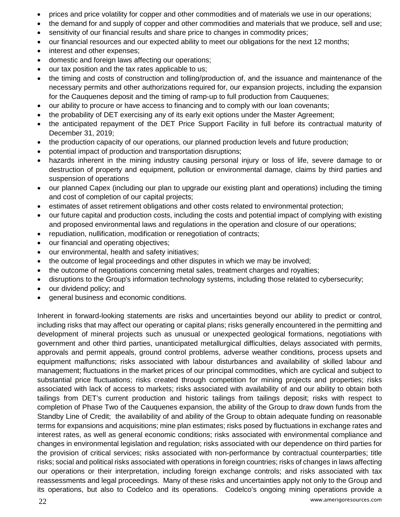- prices and price volatility for copper and other commodities and of materials we use in our operations;
- the demand for and supply of copper and other commodities and materials that we produce, sell and use;
- sensitivity of our financial results and share price to changes in commodity prices;
- our financial resources and our expected ability to meet our obligations for the next 12 months;
- interest and other expenses;
- domestic and foreign laws affecting our operations;
- our tax position and the tax rates applicable to us;
- the timing and costs of construction and tolling/production of, and the issuance and maintenance of the necessary permits and other authorizations required for, our expansion projects, including the expansion for the Cauquenes deposit and the timing of ramp-up to full production from Cauquenes;
- our ability to procure or have access to financing and to comply with our loan covenants;
- the probability of DET exercising any of its early exit options under the Master Agreement;
- the anticipated repayment of the DET Price Support Facility in full before its contractual maturity of December 31, 2019;
- the production capacity of our operations, our planned production levels and future production;
- potential impact of production and transportation disruptions;
- hazards inherent in the mining industry causing personal injury or loss of life, severe damage to or destruction of property and equipment, pollution or environmental damage, claims by third parties and suspension of operations
- our planned Capex (including our plan to upgrade our existing plant and operations) including the timing and cost of completion of our capital projects;
- estimates of asset retirement obligations and other costs related to environmental protection;
- our future capital and production costs, including the costs and potential impact of complying with existing and proposed environmental laws and regulations in the operation and closure of our operations;
- repudiation, nullification, modification or renegotiation of contracts;
- our financial and operating objectives;
- our environmental, health and safety initiatives;
- the outcome of legal proceedings and other disputes in which we may be involved;
- the outcome of negotiations concerning metal sales, treatment charges and royalties;
- disruptions to the Group's information technology systems, including those related to cybersecurity;
- our dividend policy; and
- general business and economic conditions.

Inherent in forward-looking statements are risks and uncertainties beyond our ability to predict or control, including risks that may affect our operating or capital plans; risks generally encountered in the permitting and development of mineral projects such as unusual or unexpected geological formations, negotiations with government and other third parties, unanticipated metallurgical difficulties, delays associated with permits, approvals and permit appeals, ground control problems, adverse weather conditions, process upsets and equipment malfunctions; risks associated with labour disturbances and availability of skilled labour and management; fluctuations in the market prices of our principal commodities, which are cyclical and subject to substantial price fluctuations; risks created through competition for mining projects and properties; risks associated with lack of access to markets; risks associated with availability of and our ability to obtain both tailings from DET's current production and historic tailings from tailings deposit; risks with respect to completion of Phase Two of the Cauquenes expansion, the ability of the Group to draw down funds from the Standby Line of Credit; the availability of and ability of the Group to obtain adequate funding on reasonable terms for expansions and acquisitions; mine plan estimates; risks posed by fluctuations in exchange rates and interest rates, as well as general economic conditions; risks associated with environmental compliance and changes in environmental legislation and regulation; risks associated with our dependence on third parties for the provision of critical services; risks associated with non-performance by contractual counterparties; title risks; social and political risks associated with operations in foreign countries; risks of changes in laws affecting our operations or their interpretation, including foreign exchange controls; and risks associated with tax reassessments and legal proceedings. Many of these risks and uncertainties apply not only to the Group and its operations, but also to Codelco and its operations. Codelco's ongoing mining operations provide a